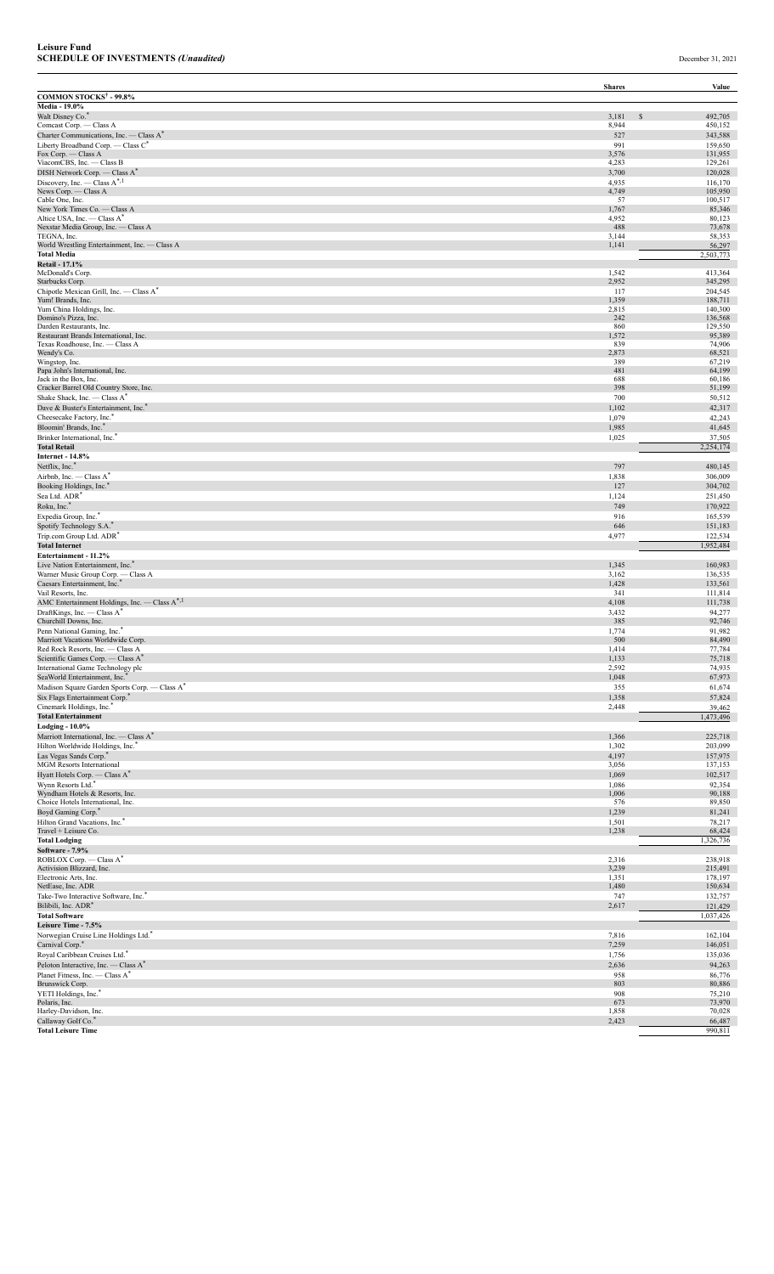|                                                                                     | <b>Shares</b>  | Value                    |
|-------------------------------------------------------------------------------------|----------------|--------------------------|
| <b>COMMON STOCKS<sup>†</sup> - 99.8%</b><br>Media - 19.0%                           |                |                          |
| Walt Disney Co.*                                                                    | 3,181          | 492,705<br><sup>\$</sup> |
| Comcast Corp. - Class A                                                             | 8,944          | 450,152                  |
| Charter Communications, Inc. - Class A*<br>Liberty Broadband Corp. - Class C*       | 527            | 343,588                  |
| Fox Corp. — Class A                                                                 | 991<br>3,576   | 159,650<br>131,955       |
| ViacomCBS, Inc. - Class B                                                           | 4,283          | 129,261                  |
| DISH Network Corp. - Class A*                                                       | 3,700          | 120,028                  |
| Discovery, Inc. — Class $A^{*,1}$<br>News Corp. - Class A                           | 4,935<br>4,749 | 116,170<br>105,950       |
| Cable One, Inc.                                                                     | 57             | 100,517                  |
| New York Times Co. - Class A                                                        | 1,767          | 85,346                   |
| Altice USA, Inc. - Class A*<br>Nexstar Media Group, Inc. - Class A                  | 4,952<br>488   | 80,123<br>73,678         |
| TEGNA, Inc.                                                                         | 3,144          | 58,353                   |
| World Wrestling Entertainment, Inc. - Class A<br><b>Total Media</b>                 | 1,141          | 56,297<br>2,503,773      |
| <b>Retail - 17.1%</b>                                                               |                |                          |
| McDonald's Corp.                                                                    | 1,542          | 413,364                  |
| Starbucks Corp.<br>Chipotle Mexican Grill, Inc. - Class A*                          | 2,952<br>117   | 345,295<br>204,545       |
| Yum! Brands, Inc.                                                                   | 1,359          | 188,711                  |
| Yum China Holdings, Inc.                                                            | 2,815          | 140,300                  |
| Domino's Pizza, Inc.<br>Darden Restaurants, Inc.                                    | 242<br>860     | 136,568<br>129,550       |
| Restaurant Brands International, Inc.                                               | 1,572          | 95,389                   |
| Texas Roadhouse, Inc. - Class A<br>Wendy's Co.                                      | 839<br>2,873   | 74,906<br>68,521         |
| Wingstop, Inc.                                                                      | 389            | 67,219                   |
| Papa John's International, Inc.                                                     | 481            | 64,199                   |
| Jack in the Box, Inc.<br>Cracker Barrel Old Country Store, Inc.                     | 688<br>398     | 60,186<br>51,199         |
| Shake Shack, Inc. - Class A*                                                        | 700            | 50,512                   |
| Dave & Buster's Entertainment, Inc. <sup>*</sup>                                    | 1,102          | 42,317                   |
| Cheesecake Factory, Inc.*                                                           | 1,079          | 42,243                   |
| Bloomin' Brands, Inc.*<br>Brinker International, Inc.*                              | 1,985<br>1,025 | 41,645<br>37,505         |
| <b>Total Retail</b>                                                                 |                | 2,254,174                |
| <b>Internet - 14.8%</b>                                                             |                |                          |
| Netflix, Inc.*                                                                      | 797            | 480,145                  |
| Airbnb, Inc. - Class A*<br>Booking Holdings, Inc.                                   | 1,838<br>127   | 306,009<br>304,702       |
| Sea Ltd. ADR*                                                                       | 1,124          | 251,450                  |
| Roku, Inc.*                                                                         | 749            | 170,922                  |
| Expedia Group, Inc.*                                                                | 916            | 165,539                  |
| Spotify Technology S.A.*<br>Trip.com Group Ltd. ADR <sup>*</sup>                    | 646<br>4,977   | 151,183                  |
| <b>Total Internet</b>                                                               |                | 122,534<br>1,952,484     |
| Entertainment - 11.2%                                                               |                |                          |
| Live Nation Entertainment, Inc. <sup>*</sup>                                        | 1,345          | 160,983                  |
| Warner Music Group Corp. - Class A<br>Caesars Entertainment, Inc.*                  | 3,162<br>1,428 | 136,535<br>133,561       |
| Vail Resorts, Inc.                                                                  | 341            | 111,814                  |
| AMC Entertainment Holdings, Inc. - Class A*,1                                       | 4,108          | 111,738                  |
| DraftKings, Inc. - Class A <sup>*</sup><br>Churchill Downs, Inc.                    | 3,432          | 94,277                   |
| Penn National Gaming, Inc. <sup>®</sup>                                             | 385<br>1,774   | 92,746<br>91,982         |
| Marriott Vacations Worldwide Corp.                                                  | 500            | 84,490                   |
| Red Rock Resorts, Inc. — Class A                                                    | 1,414          | 77,784                   |
| Scientific Games Corp. — Class A <sup>*</sup><br>International Game Technology plc  | 1,133<br>2,592 | 75,718<br>74,935         |
| SeaWorld Entertainment, Inc.                                                        | 1,048          | 67,973                   |
| Madison Square Garden Sports Corp. - Class A*                                       | 355            | 61,674                   |
| Six Flags Entertainment Corp.*                                                      | 1,358          | 57,824                   |
| Cinemark Holdings, Inc.<br><b>Total Entertainment</b>                               | 2,448          | 39,462<br>1,473,496      |
| <b>Lodging - 10.0%</b>                                                              |                |                          |
| Marriott International, Inc. - Class A*                                             | 1,366          | 225,718                  |
| Hilton Worldwide Holdings, Inc."                                                    | 1,302          | 203,099                  |
| Las Vegas Sands Corp.*<br><b>MGM</b> Resorts International                          | 4,197<br>3,056 | 157,975<br>137,153       |
| Hyatt Hotels Corp. — Class A*                                                       | 1,069          | 102,517                  |
| Wynn Resorts Ltd.*                                                                  | 1,086          | 92,354                   |
| Wyndham Hotels & Resorts, Inc.<br>Choice Hotels International, Inc.                 | 1,006<br>576   | 90,188<br>89,850         |
| Boyd Gaming Corp.                                                                   | 1,239          | 81,241                   |
| Hilton Grand Vacations, Inc.*                                                       | 1,501          | 78,217                   |
| Travel + Leisure Co.<br><b>Total Lodging</b>                                        | 1,238          | 68,424<br>,326,736       |
| Software - 7.9%                                                                     |                |                          |
| ROBLOX Corp. - Class A*                                                             | 2,316          | 238,918                  |
| Activision Blizzard, Inc.<br>Electronic Arts, Inc.                                  | 3,239<br>1,351 | 215,491<br>178,197       |
| NetEase, Inc. ADR                                                                   | 1,480          | 150,634                  |
| Take-Two Interactive Software, Inc.*                                                | 747            | 132,757                  |
| Bilibili, Inc. ADR <sup>*</sup>                                                     | 2,617          | 121,429                  |
| <b>Total Software</b><br>Leisure Time - 7.5%                                        |                | 1,037,426                |
| Norwegian Cruise Line Holdings Ltd."                                                | 7,816          | 162,104                  |
| Carnival Corp.*                                                                     | 7,259          | 146,051                  |
| Royal Caribbean Cruises Ltd.*                                                       | 1,756          | 135,036                  |
| Peloton Interactive, Inc. - Class A*<br>Planet Fitness, Inc. - Class A <sup>*</sup> | 2,636<br>958   | 94,263                   |
| Brunswick Corp.                                                                     | 803            | 86,776<br>80,886         |
| YETI Holdings, Inc."                                                                | 908            | 75,210                   |
| Polaris, Inc.<br>Harley-Davidson, Inc.                                              | 673<br>1,858   | 73,970<br>70,028         |
| Callaway Golf Co.*                                                                  | 2,423          | 66,487                   |
| <b>Total Leisure Time</b>                                                           |                | 990,811                  |